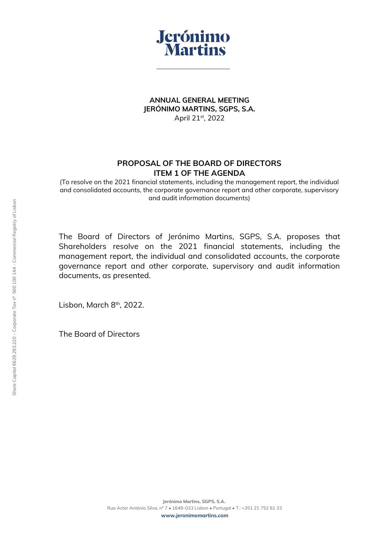

**ANNUAL GENERAL MEETING JERÓNIMO MARTINS, SGPS, S.A.** April 21st, 2022

## **PROPOSAL OF THE BOARD OF DIRECTORS ITEM 1 OF THE AGENDA**

(To resolve on the 2021 financial statements, including the management report, the individual and consolidated accounts, the corporate governance report and other corporate, supervisory and audit information documents)

The Board of Directors of Jerónimo Martins, SGPS, S.A. proposes that Shareholders resolve on the 2021 financial statements, including the management report, the individual and consolidated accounts, the corporate governance report and other corporate, supervisory and audit information documents, as presented.

Lisbon, March 8<sup>th</sup>, 2022.

The Board of Directors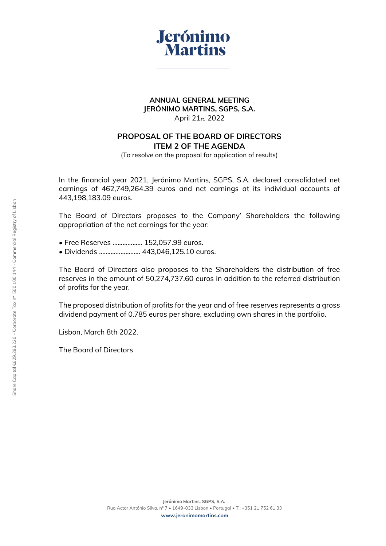

#### **ANNUAL GENERAL MEETING JERÓNIMO MARTINS, SGPS, S.A.** April 21st, 2022

## **PROPOSAL OF THE BOARD OF DIRECTORS ITEM 2 OF THE AGENDA**

(To resolve on the proposal for application of results)

In the financial year 2021, Jerónimo Martins, SGPS, S.A. declared consolidated net earnings of 462,749,264.39 euros and net earnings at its individual accounts of 443,198,183.09 euros.

The Board of Directors proposes to the Company' Shareholders the following appropriation of the net earnings for the year:

- Free Reserves ……………... 152,057.99 euros.
- Dividends ……………………. 443,046,125.10 euros.

The Board of Directors also proposes to the Shareholders the distribution of free reserves in the amount of 50,274,737.60 euros in addition to the referred distribution of profits for the year.

The proposed distribution of profits for the year and of free reserves represents a gross dividend payment of 0.785 euros per share, excluding own shares in the portfolio.

Lisbon, March 8th 2022.

The Board of Directors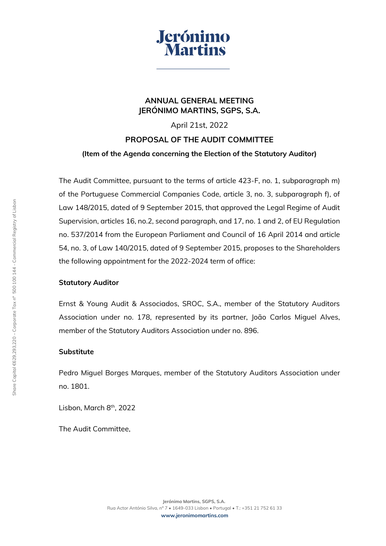

## **ANNUAL GENERAL MEETING JERÓNIMO MARTINS, SGPS, S.A.**

April 21st, 2022

# **PROPOSAL OF THE AUDIT COMMITTEE**

## **(Item of the Agenda concerning the Election of the Statutory Auditor)**

The Audit Committee, pursuant to the terms of article 423-F, no. 1, subparagraph m) of the Portuguese Commercial Companies Code, article 3, no. 3, subparagraph f), of Law 148/2015, dated of 9 September 2015, that approved the Legal Regime of Audit Supervision, articles 16, no.2, second paragraph, and 17, no. 1 and 2, of EU Regulation no. 537/2014 from the European Parliament and Council of 16 April 2014 and article 54, no. 3, of Law 140/2015, dated of 9 September 2015, proposes to the Shareholders the following appointment for the 2022-2024 term of office:

## **Statutory Auditor**

Ernst & Young Audit & Associados, SROC, S.A., member of the Statutory Auditors Association under no. 178, represented by its partner, João Carlos Miguel Alves, member of the Statutory Auditors Association under no. 896.

## **Substitute**

Pedro Miguel Borges Marques, member of the Statutory Auditors Association under no. 1801.

Lisbon, March 8<sup>th</sup>, 2022

The Audit Committee,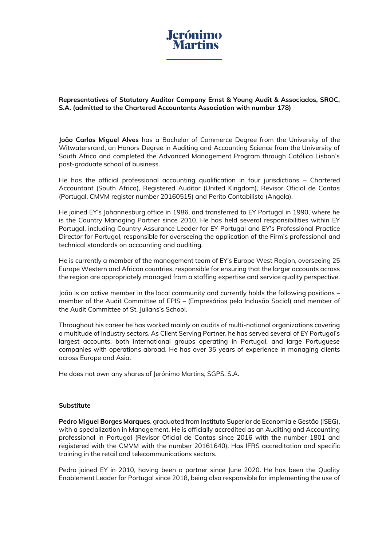

**Representatives of Statutory Auditor Company Ernst & Young Audit & Associados, SROC, S.A. (admitted to the Chartered Accountants Association with number 178)**

**João Carlos Miguel Alves** has a Bachelor of Commerce Degree from the University of the Witwatersrand, an Honors Degree in Auditing and Accounting Science from the University of South Africa and completed the Advanced Management Program through Católica Lisbon's post-graduate school of business.

He has the official professional accounting qualification in four jurisdictions – Chartered Accountant (South Africa), Registered Auditor (United Kingdom), Revisor Oficial de Contas (Portugal, CMVM register number 20160515) and Perito Contabilista (Angola).

He joined EY's Johannesburg office in 1986, and transferred to EY Portugal in 1990, where he is the Country Managing Partner since 2010. He has held several responsibilities within EY Portugal, including Country Assurance Leader for EY Portugal and EY's Professional Practice Director for Portugal, responsible for overseeing the application of the Firm's professional and technical standards on accounting and auditing.

He is currently a member of the management team of EY's Europe West Region, overseeing 25 Europe Western and African countries, responsible for ensuring that the larger accounts across the region are appropriately managed from a staffing expertise and service quality perspective.

João is an active member in the local community and currently holds the following positions – member of the Audit Committee of EPIS – (Empresários pela Inclusão Social) and member of the Audit Committee of St. Julians's School.

Throughout his career he has worked mainly on audits of multi-national organizations covering a multitude of industry sectors. As Client Serving Partner, he has served several of EY Portugal's largest accounts, both international groups operating in Portugal, and large Portuguese companies with operations abroad. He has over 35 years of experience in managing clients across Europe and Asia.

He does not own any shares of Jerónimo Martins, SGPS, S.A.

#### **Substitute**

**Pedro Miguel Borges Marques**, graduated from Instituto Superior de Economia e Gestão (ISEG), with a specialization in Management. He is officially accredited as an Auditing and Accounting professional in Portugal (Revisor Oficial de Contas since 2016 with the number 1801 and registered with the CMVM with the number 20161640). Has IFRS accreditation and specific training in the retail and telecommunications sectors.

Pedro joined EY in 2010, having been a partner since June 2020. He has been the Quality Enablement Leader for Portugal since 2018, being also responsible for implementing the use of